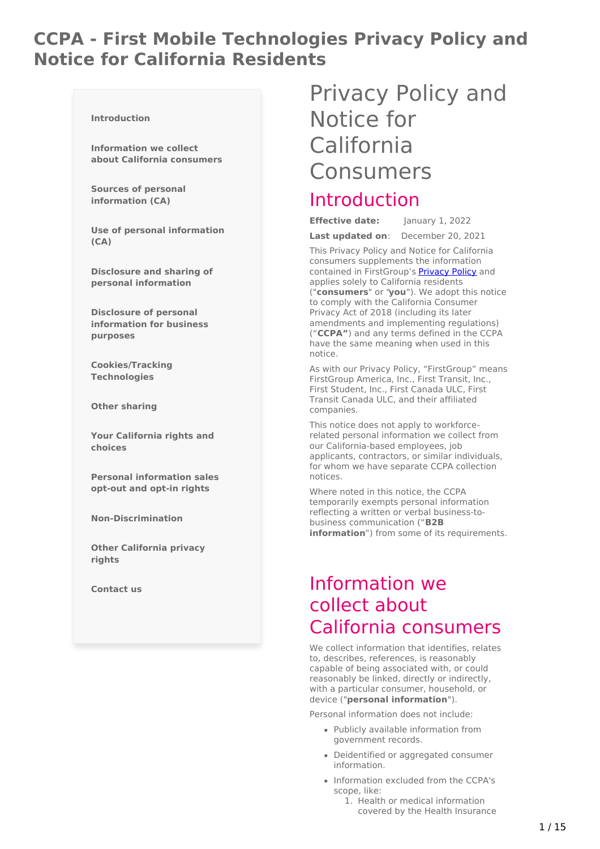# **CCPA - First Mobile Technologies Privacy Policy and Notice for California Residents**

#### **[Introduction](#page-0-0)**

**[Information](#page-2-0) we collect about California consumers**

**Sources of personal [information](#page-5-0) (CA)**

**Use of personal [information](#page-6-0) (CA)**

**Disclosure and sharing of personal [information](#page-7-0)**

**Disclosure of personal [information](#page-7-1) for business purposes**

**[Cookies/Tracking](#page-8-0) Technologies**

**Other [sharing](#page-9-0)**

**Your [California](#page-11-0) rights and choices**

**Personal [information](#page-13-0) sales opt-out and opt-in rights**

**[Non-Discrimination](#page-13-1)**

**Other [California](#page-13-2) privacy rights**

**[Contact](#page-14-0) us**

# <span id="page-0-0"></span>Privacy Policy and Notice for California Consumers

# Introduction

**Effective date:** January 1, 2022

**Last updated on**: December 20, 2021

This Privacy Policy and Notice for California consumers supplements the information contained in FirstGroup's [Privacy](https://www.firstmobiletechnologies.com/privacy) Policy and applies solely to California residents ("**consumers**" or "**you**"). We adopt this notice to comply with the California Consumer Privacy Act of 2018 (including its later amendments and implementing regulations) ("**CCPA"**) and any terms defined in the CCPA have the same meaning when used in this notice.

As with our Privacy Policy, "FirstGroup" means FirstGroup America, Inc., First Transit, Inc., First Student, Inc., First Canada ULC, First Transit Canada ULC, and their affiliated companies.

This notice does not apply to workforcerelated personal information we collect from our California-based employees, job applicants, contractors, or similar individuals, for whom we have separate CCPA collection notices.

Where noted in this notice, the CCPA temporarily exempts personal information reflecting a written or verbal business-tobusiness communication ("**B2B information**") from some of its requirements.

# Information we collect about California consumers

We collect information that identifies, relates to, describes, references, is reasonably capable of being associated with, or could reasonably be linked, directly or indirectly, with a particular consumer, household, or device ("**personal information**").

Personal information does not include:

- Publicly available information from government records.
- Deidentified or aggregated consumer information.
- Information excluded from the CCPA's scope, like:
	- 1. Health or medical information covered by the Health Insurance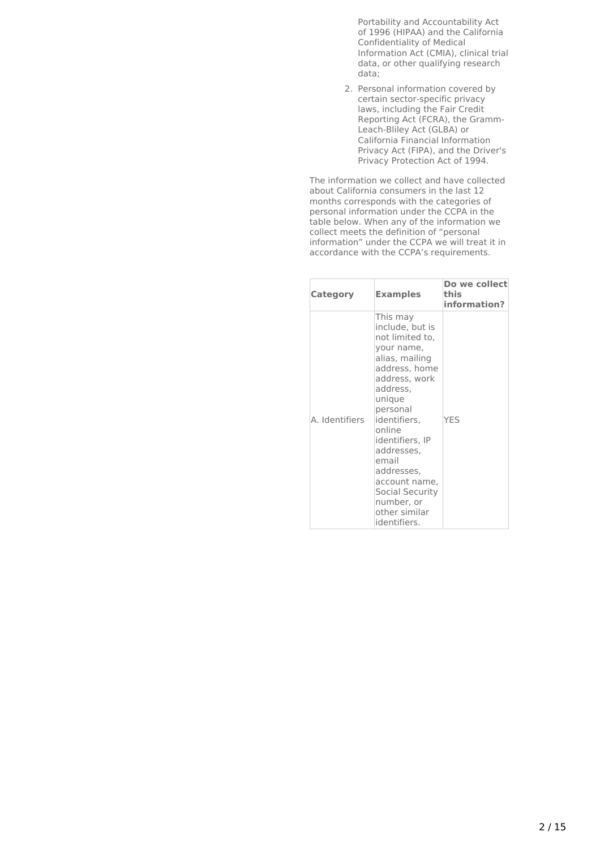Portability and Accountability Act of 1996 (HIPAA) and the California Confidentiality of Medical Information Act (CMIA), clinical trial data, or other qualifying research data;

2. Personal information covered by certain sector-specific privacy laws, including the Fair Credit Reporting Act (FCRA), the Gramm-Leach-Bliley Act (GLBA) or California Financial Information Privacy Act (FIPA), and the Driver's Privacy Protection Act of 1994.

The information we collect and have collected about California consumers in the last 12 months corresponds with the categories of personal information under the CCPA in the table below. When any of the information we collect meets the definition of "personal information" under the CCPA we will treat it in accordance with the CCPA's requirements.

| Category       | <b>Examples</b>                                                                                                                                                                                                                                                                                                         | Do we collect<br>this<br>information? |
|----------------|-------------------------------------------------------------------------------------------------------------------------------------------------------------------------------------------------------------------------------------------------------------------------------------------------------------------------|---------------------------------------|
| A. Identifiers | This may<br>include, but is<br>not limited to,<br>your name,<br>alias, mailing<br>address, home<br>address, work<br>address,<br>unique<br>personal<br>identifiers,<br>online<br>identifiers, IP<br>addresses,<br>email<br>addresses,<br>account name,<br>Social Security<br>number, or<br>other similar<br>identifiers. | <b>YFS</b>                            |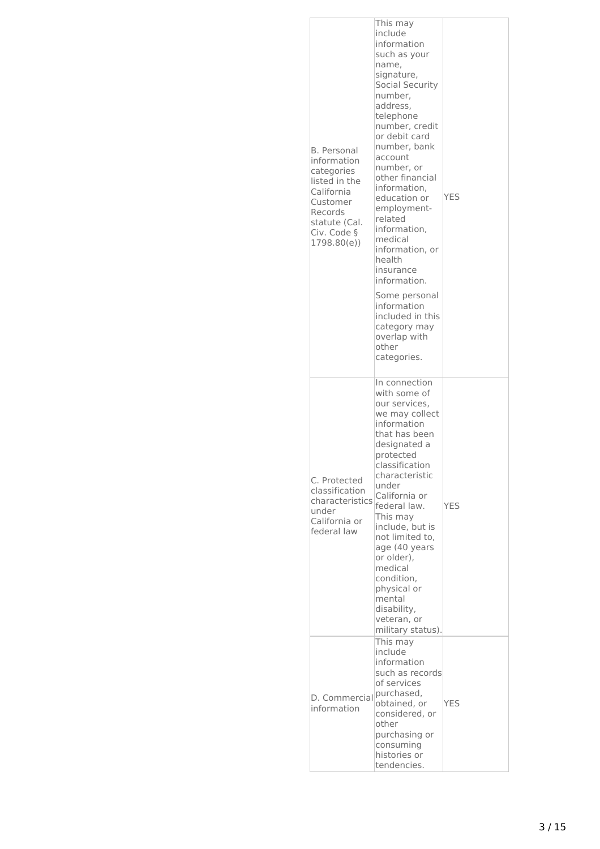<span id="page-2-0"></span>

| <b>B.</b> Personal<br>information<br>categories<br>listed in the<br>California<br>Customer<br>Records<br>statute (Cal.<br>Civ. Code §<br>1798.80(e)) | This may<br>include<br>information<br>such as your<br>name,<br>signature,<br>Social Security<br>number,<br>address.<br>telephone<br>number, credit<br>or debit card<br>number, bank<br>account<br>number, or<br>other financial<br>information,<br>education or<br>employment-<br>related<br>information,<br>medical<br>information, or<br>health<br>insurance<br>information.<br>Some personal<br>information<br>included in this<br>category may<br>overlap with<br>other<br>categories. | YES        |
|------------------------------------------------------------------------------------------------------------------------------------------------------|--------------------------------------------------------------------------------------------------------------------------------------------------------------------------------------------------------------------------------------------------------------------------------------------------------------------------------------------------------------------------------------------------------------------------------------------------------------------------------------------|------------|
| C. Protected<br>classification<br>characteristics<br>under<br>California or<br>federal law                                                           | In connection<br>with some of<br>our services,<br>we may collect<br>information<br>that has been<br>designated a<br>protected<br>classification<br>characteristic<br>under<br>California or<br>federal law.<br>This may<br>include, but is<br>not limited to.<br>age (40 years<br>or older),<br>medical<br>condition,<br>physical or<br>mental<br>disability,<br>veteran, or<br>military status).                                                                                          | <b>YES</b> |
| D. Commercial<br>information                                                                                                                         | This may<br>include<br>information<br>such as records<br>of services<br>purchased,<br>obtained, or<br>considered, or<br>other<br>purchasing or<br>consuming<br>histories or<br>tendencies.                                                                                                                                                                                                                                                                                                 | <b>YES</b> |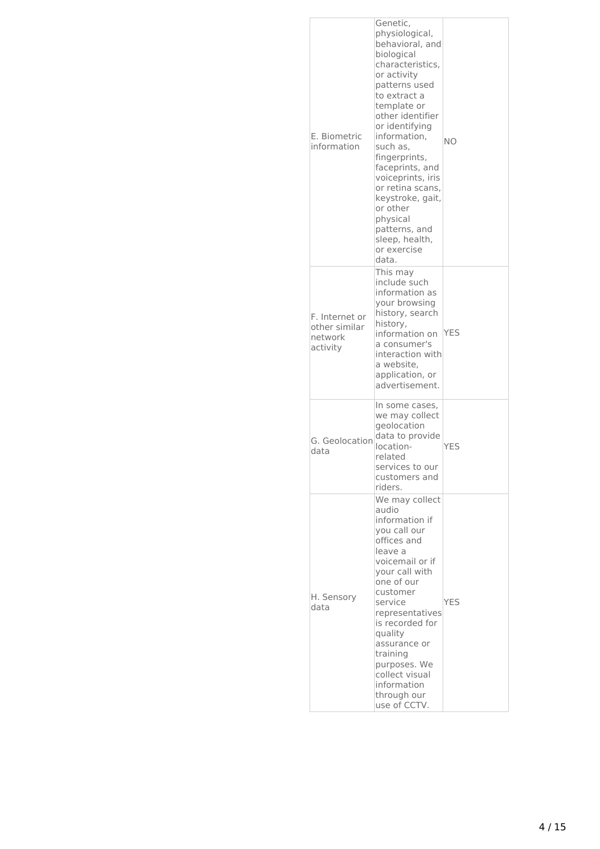| E. Biometric<br>information                            | Genetic,<br>physiological,<br>behavioral, and<br>biological<br>characteristics,<br>or activity<br>patterns used<br>to extract a<br>template or<br>other identifier<br>or identifying<br>information,<br>such as,<br>fingerprints,<br>faceprints, and<br>voiceprints, iris<br>or retina scans,<br>keystroke, gait,<br>or other<br>physical<br>patterns, and<br>sleep, health,<br>or exercise<br>data. | NΟ         |
|--------------------------------------------------------|------------------------------------------------------------------------------------------------------------------------------------------------------------------------------------------------------------------------------------------------------------------------------------------------------------------------------------------------------------------------------------------------------|------------|
| F. Internet or<br>other similar<br>network<br>activity | This may<br>include such<br>information as<br>your browsing<br>history, search<br>history,<br>information on<br>a consumer's<br>interaction with<br>a website,<br>application, or<br>advertisement.                                                                                                                                                                                                  | <b>YES</b> |
| G. Geolocation<br>data                                 | In some cases,<br>we may collect<br>geolocation<br>data to provide<br>location-<br>related<br>services to our<br>customers and<br>riders.                                                                                                                                                                                                                                                            | <b>YFS</b> |
| H. Sensory<br>data                                     | We may collect<br>audio<br>information if<br>you call our<br>offices and<br>leave a<br>voicemail or if<br>your call with<br>one of our<br>customer<br>service<br>representatives<br>is recorded for<br>quality<br>assurance or<br>training<br>purposes. We<br>collect visual<br>information<br>through our<br>use of CCTV.                                                                           | <b>YES</b> |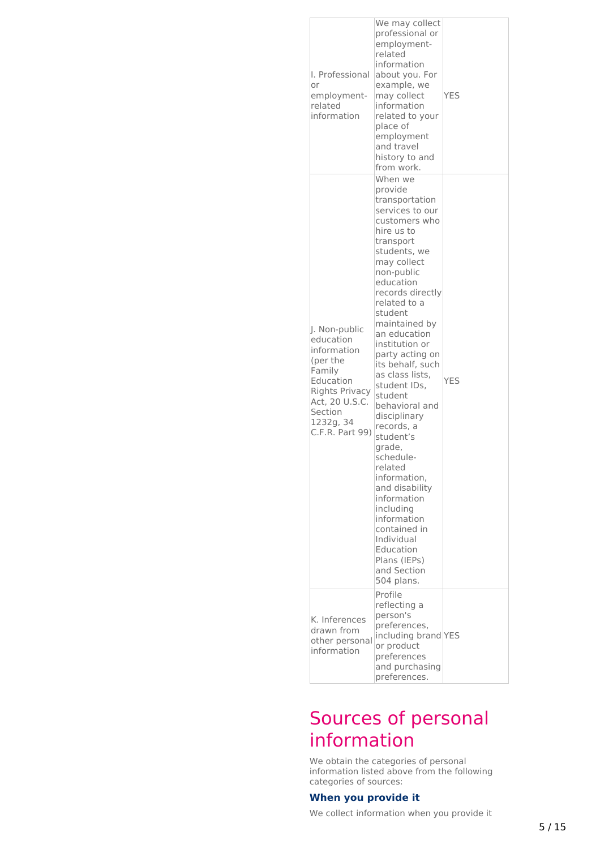| I. Professional<br>or<br>employment-<br>related<br>information                                                                                              | We may collect<br>professional or<br>employment-<br>related<br>information<br>about you. For<br>example, we<br>may collect<br>information<br>related to your<br>place of<br>employment<br>and travel<br>history to and<br>from work.                                                                                                                                                                                                                                                                                                                                                                                     | <b>YES</b> |
|-------------------------------------------------------------------------------------------------------------------------------------------------------------|--------------------------------------------------------------------------------------------------------------------------------------------------------------------------------------------------------------------------------------------------------------------------------------------------------------------------------------------------------------------------------------------------------------------------------------------------------------------------------------------------------------------------------------------------------------------------------------------------------------------------|------------|
| J. Non-public<br>education<br>information<br>(per the<br>Family<br>Education<br>Rights Privacy<br>Act, 20 U.S.C.<br>Section<br>1232g, 34<br>C.F.R. Part 99) | When we<br>provide<br>transportation<br>services to our<br>customers who<br>hire us to<br>transport<br>students, we<br>may collect<br>non-public<br>education<br>records directly<br>related to a<br>student<br>maintained by<br>an education<br>institution or<br>party acting on<br>its behalf, such<br>as class lists,<br>student IDs,<br>student<br>behavioral and<br>disciplinary<br>records, a<br>student's<br>grade,<br>schedule-<br>related<br>information,<br>and disability<br>information<br>including<br>information<br>contained in<br>Individual<br>Education<br>Plans (IEPs)<br>and Section<br>504 plans. | <b>YES</b> |
| K. Inferences<br>drawn from<br>other personal<br>information                                                                                                | Profile<br>reflecting a<br>person's<br>preferences,<br>including brand YES<br>or product<br>preferences<br>and purchasing<br>preferences.                                                                                                                                                                                                                                                                                                                                                                                                                                                                                |            |

# Sources of personal information

We obtain the categories of personal information listed above from the following categories of sources:

## **When you provide it**

We collect information when you provide it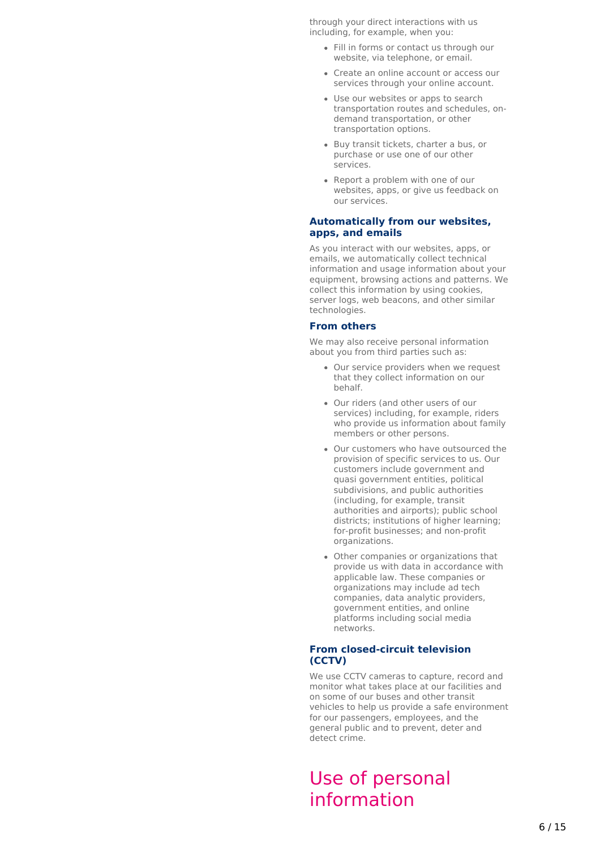<span id="page-5-0"></span>through your direct interactions with us including, for example, when you:

- Fill in forms or contact us through our website, via telephone, or email.
- Create an online account or access our services through your online account.
- Use our websites or apps to search transportation routes and schedules, ondemand transportation, or other transportation options.
- Buy transit tickets, charter a bus, or purchase or use one of our other services.
- Report a problem with one of our websites, apps, or give us feedback on our services.

### **Automatically from our websites, apps, and emails**

As you interact with our websites, apps, or emails, we automatically collect technical information and usage information about your equipment, browsing actions and patterns. We collect this information by using cookies, server logs, web beacons, and other similar technologies.

#### **From others**

We may also receive personal information about you from third parties such as:

- Our service providers when we request that they collect information on our behalf.
- Our riders (and other users of our services) including, for example, riders who provide us information about family members or other persons.
- Our customers who have outsourced the provision of specific services to us. Our customers include government and quasi government entities, political subdivisions, and public authorities (including, for example, transit authorities and airports); public school districts; institutions of higher learning; for-profit businesses; and non-profit organizations.
- Other companies or organizations that provide us with data in accordance with applicable law. These companies or organizations may include ad tech companies, data analytic providers, government entities, and online platforms including social media .<br>networks.

## **From closed-circuit television (CCTV)**

We use CCTV cameras to capture, record and monitor what takes place at our facilities and on some of our buses and other transit vehicles to help us provide a safe environment for our passengers, employees, and the general public and to prevent, deter and detect crime.

# Use of personal information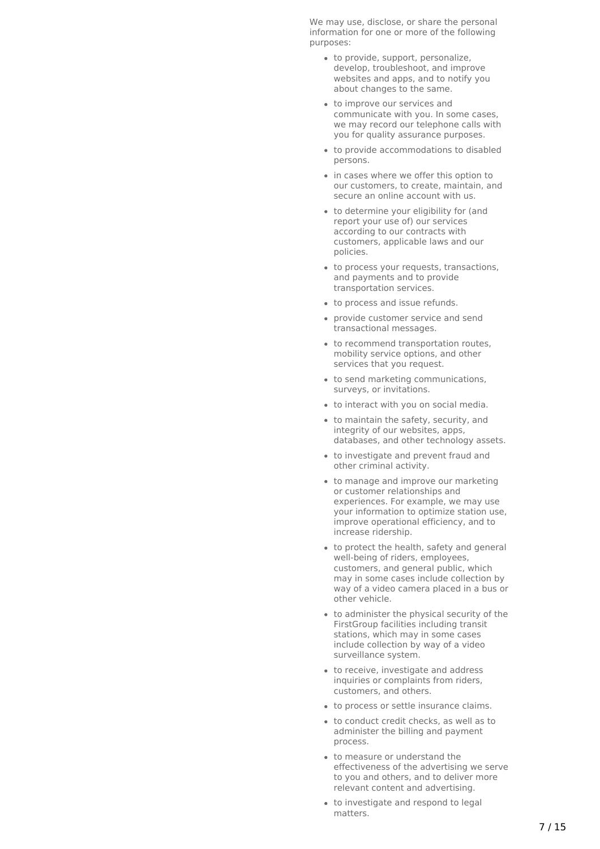<span id="page-6-0"></span>We may use, disclose, or share the personal information for one or more of the following purposes:

- to provide, support, personalize, develop, troubleshoot, and improve websites and apps, and to notify you about changes to the same.
- to improve our services and communicate with you. In some cases, we may record our telephone calls with you for quality assurance purposes.
- to provide accommodations to disabled persons.
- in cases where we offer this option to our customers, to create, maintain, and secure an online account with us.
- to determine your eligibility for (and report your use of) our services according to our contracts with customers, applicable laws and our policies.
- to process your requests, transactions, and payments and to provide transportation services.
- to process and issue refunds.
- provide customer service and send transactional messages.
- to recommend transportation routes. mobility service options, and other services that you request.
- to send marketing communications, surveys, or invitations.
- to interact with you on social media.
- to maintain the safety, security, and integrity of our websites, apps, databases, and other technology assets.
- to investigate and prevent fraud and other criminal activity.
- to manage and improve our marketing or customer relationships and experiences. For example, we may use your information to optimize station use, improve operational efficiency, and to increase ridership.
- to protect the health, safety and general well-being of riders, employees, customers, and general public, which may in some cases include collection by way of a video camera placed in a bus or other vehicle.
- to administer the physical security of the FirstGroup facilities including transit stations, which may in some cases include collection by way of a video surveillance system.
- to receive, investigate and address inquiries or complaints from riders, customers, and others.
- to process or settle insurance claims.
- to conduct credit checks, as well as to administer the billing and payment process.
- to measure or understand the effectiveness of the advertising we serve to you and others, and to deliver more relevant content and advertising.
- to investigate and respond to legal matters.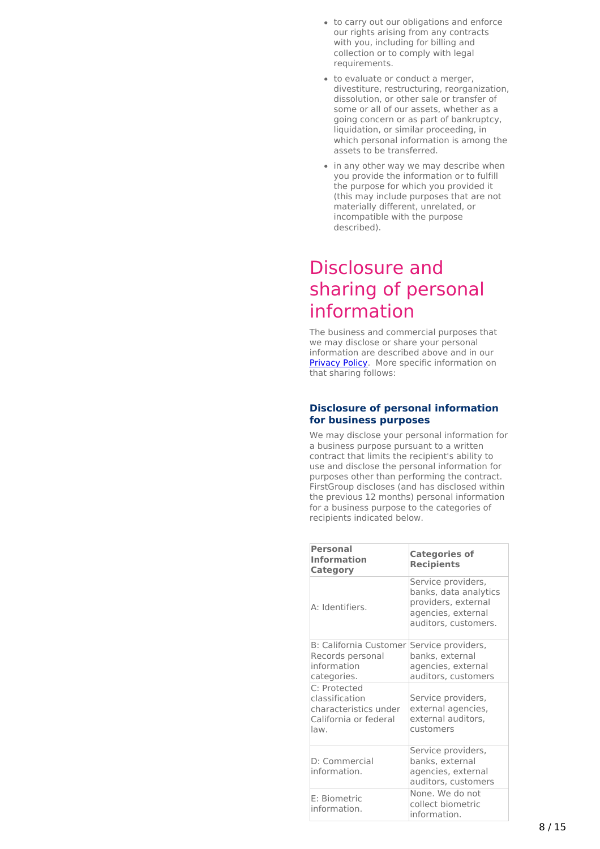- to carry out our obligations and enforce our rights arising from any contracts with you, including for billing and collection or to comply with legal requirements.
- to evaluate or conduct a merger, divestiture, restructuring, reorganization, dissolution, or other sale or transfer of some or all of our assets, whether as a going concern or as part of bankruptcy, liquidation, or similar proceeding, in which personal information is among the assets to be transferred.
- in any other way we may describe when you provide the information or to fulfill the purpose for which you provided it (this may include purposes that are not materially different, unrelated, or incompatible with the purpose described).

# <span id="page-7-0"></span>Disclosure and sharing of personal information

The business and commercial purposes that we may disclose or share your personal information are described above and in our [Privacy](https://www.firstmobiletechnologies.com/privacy) Policy. More specific information on that sharing follows:

### <span id="page-7-1"></span>**Disclosure of personal information for business purposes**

We may disclose your personal information for a business purpose pursuant to a written contract that limits the recipient's ability to use and disclose the personal information for purposes other than performing the contract. FirstGroup discloses (and has disclosed within the previous 12 months) personal information for a business purpose to the categories of recipients indicated below.

| <b>Personal</b><br><b>Information</b><br>Category                                        | <b>Categories of</b><br><b>Recipients</b>                                                                        |
|------------------------------------------------------------------------------------------|------------------------------------------------------------------------------------------------------------------|
| A: Identifiers.                                                                          | Service providers,<br>banks, data analytics<br>providers, external<br>agencies, external<br>auditors, customers. |
| <b>B: California Customer</b><br>Records personal<br>information<br>categories.          | Service providers,<br>banks, external<br>agencies, external<br>auditors, customers                               |
| C: Protected<br>classification<br>characteristics under<br>California or federal<br>law. | Service providers,<br>external agencies,<br>external auditors,<br>customers                                      |
| D: Commercial<br>information.                                                            | Service providers,<br>banks, external<br>agencies, external<br>auditors, customers                               |
| F: Biometric<br>information.                                                             | None. We do not<br>collect biometric<br>information.                                                             |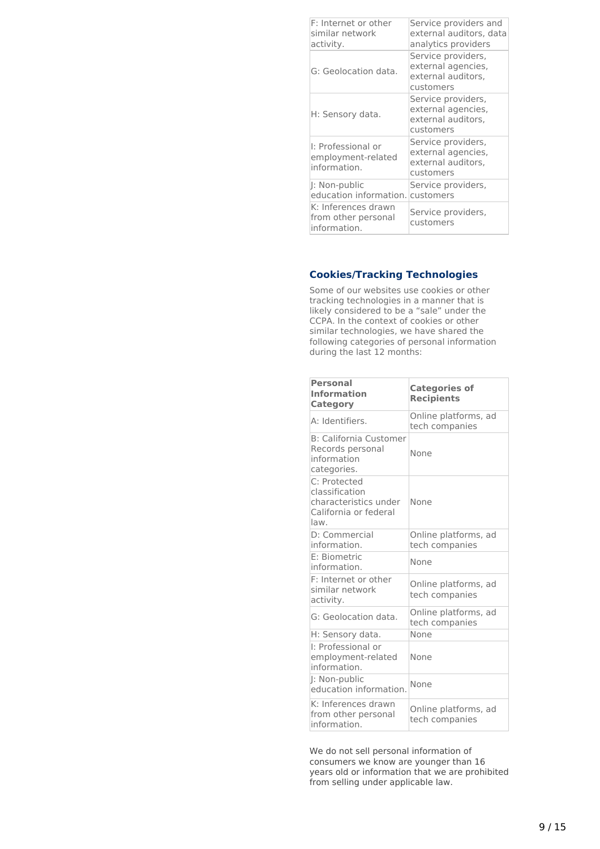| F: Internet or other<br>similar network<br>activity.       | Service providers and<br>external auditors, data<br>analytics providers     |
|------------------------------------------------------------|-----------------------------------------------------------------------------|
| G: Geolocation data.                                       | Service providers,<br>external agencies,<br>external auditors,<br>customers |
| H: Sensory data.                                           | Service providers,<br>external agencies,<br>external auditors,<br>customers |
| I: Professional or<br>employment-related<br>information.   | Service providers,<br>external agencies,<br>external auditors,<br>customers |
| I: Non-public<br>education information. customers          | Service providers,                                                          |
| K: Inferences drawn<br>from other personal<br>information. | Service providers,<br>customers                                             |

# <span id="page-8-0"></span>**Cookies/Tracking Technologies**

Some of our websites use cookies or other tracking technologies in a manner that is likely considered to be a "sale" under the CCPA. In the context of cookies or other similar technologies, we have shared the following categories of personal information during the last 12 months:

| <b>Personal</b><br><b>Information</b><br>Category                                        | <b>Categories of</b><br><b>Recipients</b> |
|------------------------------------------------------------------------------------------|-------------------------------------------|
| A: Identifiers.                                                                          | Online platforms, ad<br>tech companies    |
| <b>B</b> : California Customer<br>Records personal<br>information<br>categories.         | None                                      |
| C: Protected<br>classification<br>characteristics under<br>California or federal<br>law. | None                                      |
| D: Commercial<br>information.                                                            | Online platforms, ad<br>tech companies    |
| E: Biometric<br>information.                                                             | None                                      |
| F: Internet or other<br>similar network<br>activity.                                     | Online platforms, ad<br>tech companies    |
| G: Geolocation data.                                                                     | Online platforms, ad<br>tech companies    |
| H: Sensory data.                                                                         | None                                      |
| I: Professional or<br>employment-related<br>information.                                 | None                                      |
| J: Non-public<br>education information.                                                  | None                                      |
| K: Inferences drawn<br>from other personal<br>information.                               | Online platforms, ad<br>tech companies    |

We do not sell personal information of consumers we know are younger than 16 years old or information that we are prohibited from selling under applicable law.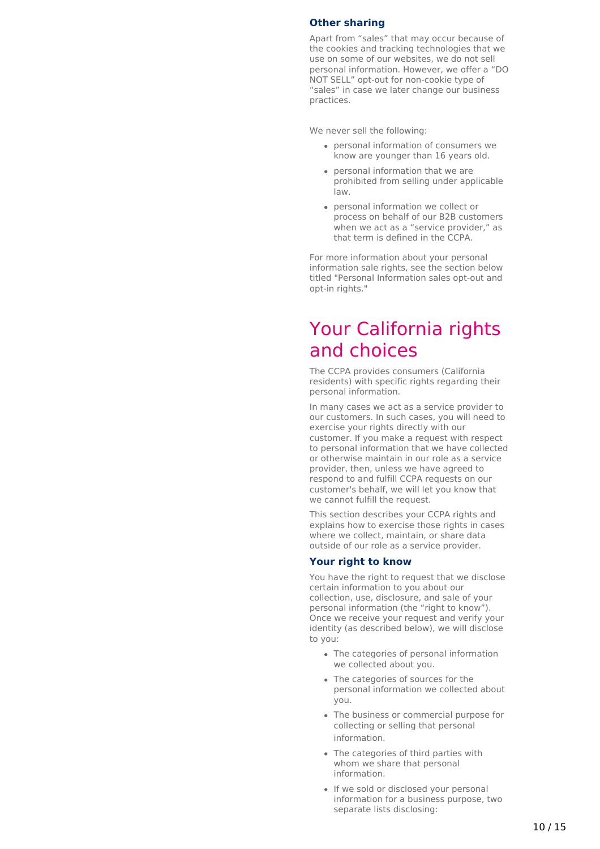### <span id="page-9-0"></span>**Other sharing**

Apart from "sales" that may occur because of the cookies and tracking technologies that we use on some of our websites, we do not sell personal information. However, we offer a "DO NOT SELL" opt-out for non-cookie type of "sales" in case we later change our business practices.

We never sell the following:

- personal information of consumers we know are younger than 16 years old.
- personal information that we are prohibited from selling under applicable law.
- personal information we collect or process on behalf of our B2B customers when we act as a "service provider," as that term is defined in the CCPA.

For more information about your personal information sale rights, see the section below titled "Personal Information sales opt-out and opt-in rights."

# Your California rights and choices

The CCPA provides consumers (California residents) with specific rights regarding their personal information.

In many cases we act as a service provider to our customers. In such cases, you will need to exercise your rights directly with our customer. If you make a request with respect to personal information that we have collected or otherwise maintain in our role as a service provider, then, unless we have agreed to respond to and fulfill CCPA requests on our customer's behalf, we will let you know that we cannot fulfill the request.

This section describes your CCPA rights and explains how to exercise those rights in cases where we collect, maintain, or share data outside of our role as a service provider.

### **Your right to know**

You have the right to request that we disclose certain information to you about our collection, use, disclosure, and sale of your personal information (the "right to know"). Once we receive your request and verify your identity (as described below), we will disclose to you:

- The categories of personal information we collected about you.
- The categories of sources for the personal information we collected about you.
- The business or commercial purpose for collecting or selling that personal information.
- The categories of third parties with whom we share that personal information.
- If we sold or disclosed your personal information for a business purpose, two separate lists disclosing: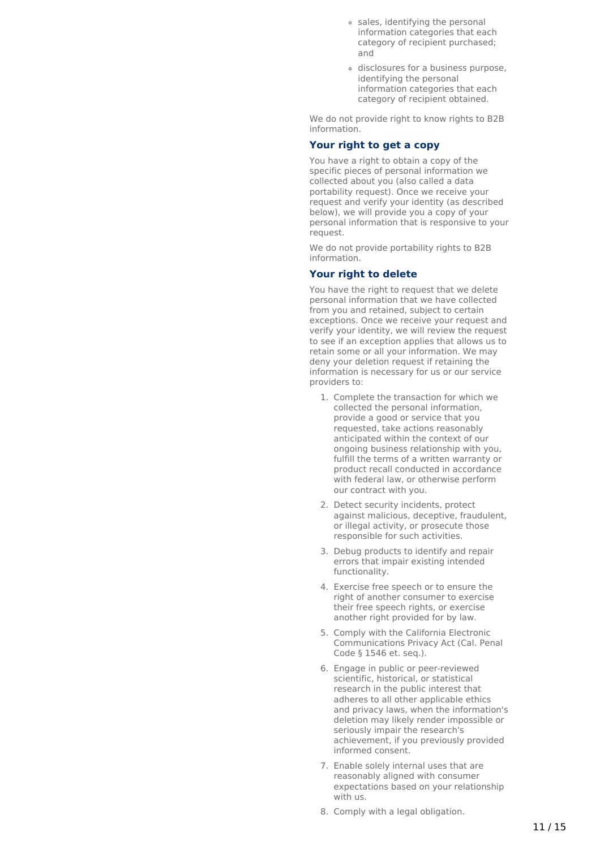- sales, identifying the personal information categories that each category of recipient purchased; and
- disclosures for a business purpose, identifying the personal information categories that each category of recipient obtained.

We do not provide right to know rights to B2B information.

## **Your right to get a copy**

You have a right to obtain a copy of the specific pieces of personal information we collected about you (also called a data portability request). Once we receive your request and verify your identity (as described below), we will provide you a copy of your personal information that is responsive to your request.

We do not provide portability rights to B2B information.

#### **Your right to delete**

You have the right to request that we delete personal information that we have collected from you and retained, subject to certain exceptions. Once we receive your request and verify your identity, we will review the request to see if an exception applies that allows us to retain some or all your information. We may deny your deletion request if retaining the information is necessary for us or our service providers to:

- 1. Complete the transaction for which we collected the personal information, provide a good or service that you requested, take actions reasonably anticipated within the context of our ongoing business relationship with you, fulfill the terms of a written warranty or product recall conducted in accordance with federal law, or otherwise perform our contract with you.
- 2. Detect security incidents, protect against malicious, deceptive, fraudulent, or illegal activity, or prosecute those responsible for such activities.
- 3. Debug products to identify and repair errors that impair existing intended functionality.
- 4. Exercise free speech or to ensure the right of another consumer to exercise their free speech rights, or exercise another right provided for by law.
- 5. Comply with the California Electronic Communications Privacy Act (Cal. Penal Code § 1546 et. seq.).
- 6. Engage in public or peer-reviewed scientific, historical, or statistical research in the public interest that adheres to all other applicable ethics and privacy laws, when the information's deletion may likely render impossible or seriously impair the research's achievement, if you previously provided informed consent.
- 7. Enable solely internal uses that are reasonably aligned with consumer expectations based on your relationship with us.
- 8. Comply with a legal obligation.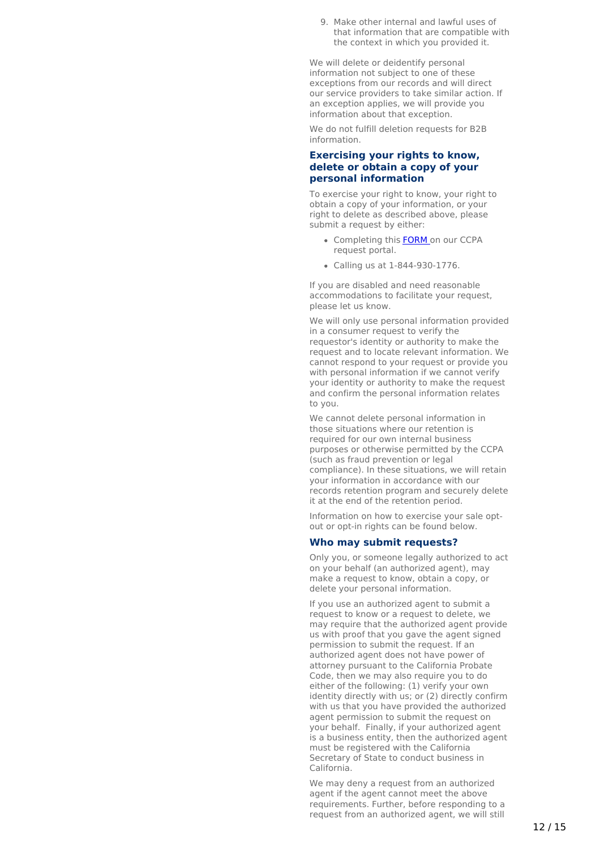<span id="page-11-0"></span>9. Make other internal and lawful uses of that information that are compatible with the context in which you provided it.

We will delete or deidentify personal information not subject to one of these exceptions from our records and will direct our service providers to take similar action. If an exception applies, we will provide you information about that exception.

We do not fulfill deletion requests for B2B information.

### **Exercising your rights to know, delete or obtain a copy of your personal information**

To exercise your right to know, your right to obtain a copy of your information, or your right to delete as described above, please submit a request by either:

- Completing this **[FORM](https://privacyportal.onetrust.com/webform/a190d218-89fd-46cd-a723-25a29edf65ae/ba6ce383-e23e-4600-b4c3-cfa330c79392)** on our CCPA request portal.
- Calling us at 1-844-930-1776.

If you are disabled and need reasonable accommodations to facilitate your request, please let us know.

We will only use personal information provided in a consumer request to verify the requestor's identity or authority to make the request and to locate relevant information. We cannot respond to your request or provide you with personal information if we cannot verify your identity or authority to make the request and confirm the personal information relates to you.

We cannot delete personal information in those situations where our retention is required for our own internal business purposes or otherwise permitted by the CCPA (such as fraud prevention or legal compliance). In these situations, we will retain your information in accordance with our records retention program and securely delete it at the end of the retention period.

Information on how to exercise your sale optout or opt-in rights can be found below.

### **Who may submit requests?**

Only you, or someone legally authorized to act on your behalf (an authorized agent), may make a request to know, obtain a copy, or delete your personal information.

If you use an authorized agent to submit a request to know or a request to delete, we may require that the authorized agent provide us with proof that you gave the agent signed permission to submit the request. If an authorized agent does not have power of attorney pursuant to the California Probate Code, then we may also require you to do either of the following: (1) verify your own identity directly with us; or (2) directly confirm with us that you have provided the authorized agent permission to submit the request on your behalf. Finally, if your authorized agent is a business entity, then the authorized agent must be registered with the California Secretary of State to conduct business in California.

We may deny a request from an authorized agent if the agent cannot meet the above requirements. Further, before responding to a request from an authorized agent, we will still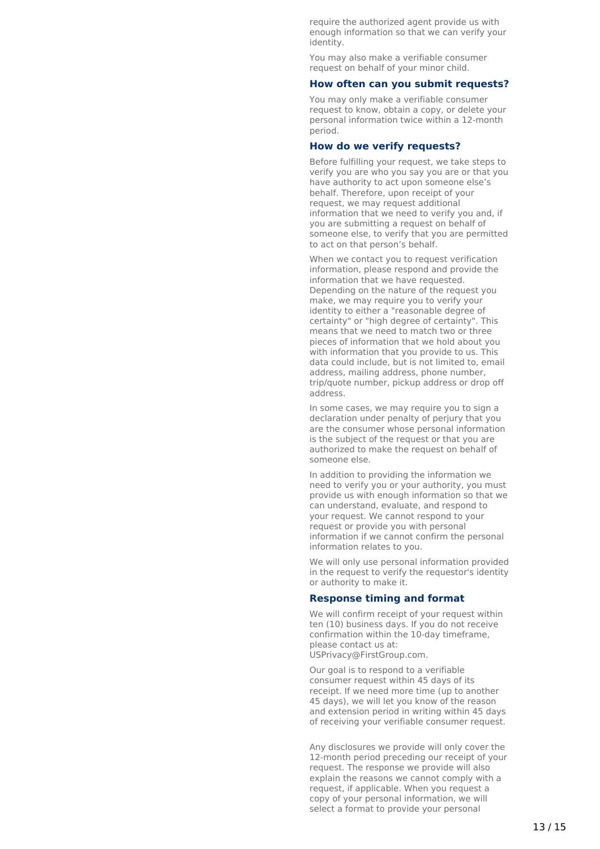require the authorized agent provide us with enough information so that we can verify your identity.

You may also make a verifiable consumer request on behalf of your minor child.

#### **How often can you submit requests?**

You may only make a verifiable consumer request to know, obtain a copy, or delete your personal information twice within a 12-month period.

### **How do we verify requests?**

Before fulfilling your request, we take steps to verify you are who you say you are or that you have authority to act upon someone else's behalf. Therefore, upon receipt of your request, we may request additional information that we need to verify you and, if you are submitting a request on behalf of someone else, to verify that you are permitted to act on that person's behalf.

When we contact you to request verification information, please respond and provide the information that we have requested. Depending on the nature of the request you make, we may require you to verify your identity to either a "reasonable degree of certainty" or "high degree of certainty". This means that we need to match two or three pieces of information that we hold about you with information that you provide to us. This data could include, but is not limited to, email address, mailing address, phone number, trip/quote number, pickup address or drop off address.

In some cases, we may require you to sign a declaration under penalty of perjury that you are the consumer whose personal information is the subject of the request or that you are authorized to make the request on behalf of someone else.

In addition to providing the information we need to verify you or your authority, you must provide us with enough information so that we can understand, evaluate, and respond to your request. We cannot respond to your request or provide you with personal information if we cannot confirm the personal information relates to you.

We will only use personal information provided in the request to verify the requestor's identity or authority to make it.

#### **Response timing and format**

We will confirm receipt of your request within ten (10) business days. If you do not receive confirmation within the 10-day timeframe, please contact us at: USPrivacy@FirstGroup.com.

Our goal is to respond to a verifiable consumer request within 45 days of its receipt. If we need more time (up to another 45 days), we will let you know of the reason and extension period in writing within 45 days of receiving your verifiable consumer request.

Any disclosures we provide will only cover the 12-month period preceding our receipt of your request. The response we provide will also explain the reasons we cannot comply with a request, if applicable. When you request a copy of your personal information, we will select a format to provide your personal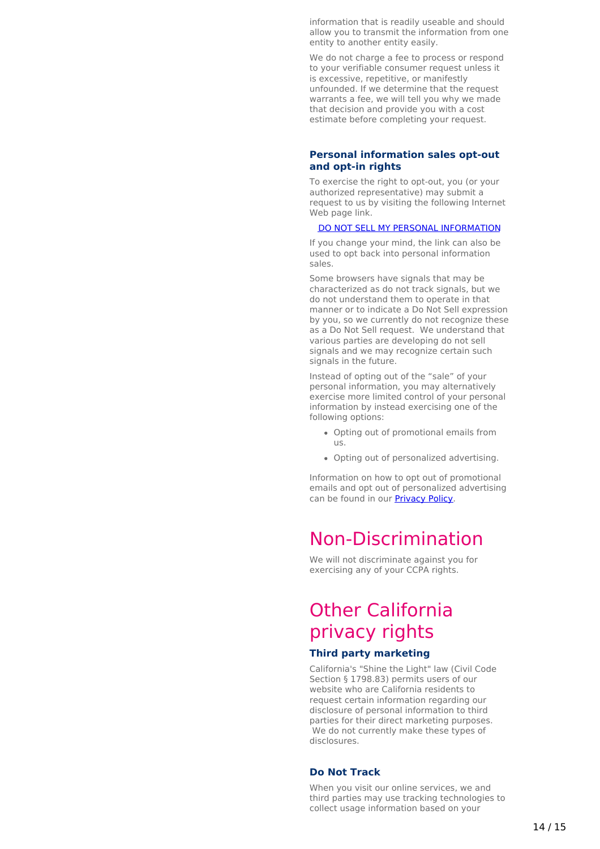information that is readily useable and should allow you to transmit the information from one entity to another entity easily.

We do not charge a fee to process or respond to your verifiable consumer request unless it is excessive, repetitive, or manifestly unfounded. If we determine that the request warrants a fee, we will tell you why we made that decision and provide you with a cost estimate before completing your request.

### <span id="page-13-0"></span>**Personal information sales opt-out and opt-in rights**

To exercise the right to opt-out, you (or your authorized representative) may submit a request to us by visiting the following Internet Web page link.

#### DO NOT SELL MY PERSONAL [INFORMATION](https://www.firstmobiletechnologies.com/do-not-sell-my-personal-information)

If you change your mind, the link can also be used to opt back into personal information sales.

Some browsers have signals that may be characterized as do not track signals, but we do not understand them to operate in that manner or to indicate a Do Not Sell expression by you, so we currently do not recognize these as a Do Not Sell request. We understand that various parties are developing do not sell signals and we may recognize certain such signals in the future.

Instead of opting out of the "sale" of your personal information, you may alternatively exercise more limited control of your personal information by instead exercising one of the following options:

- Opting out of promotional emails from us.
- Opting out of personalized advertising.

Information on how to opt out of promotional emails and opt out of personalized advertising can be found in our [Privacy](https://www.firstmobiletechnologies.com/privacy) Policy.

# <span id="page-13-1"></span>Non-Discrimination

We will not discriminate against you for exercising any of your CCPA rights.

# <span id="page-13-2"></span>Other California privacy rights

# **Third party marketing**

California's "Shine the Light" law (Civil Code Section § 1798.83) permits users of our website who are California residents to request certain information regarding our disclosure of personal information to third parties for their direct marketing purposes. We do not currently make these types of disclosures.

## **Do Not Track**

When you visit our online services, we and third parties may use tracking technologies to collect usage information based on your